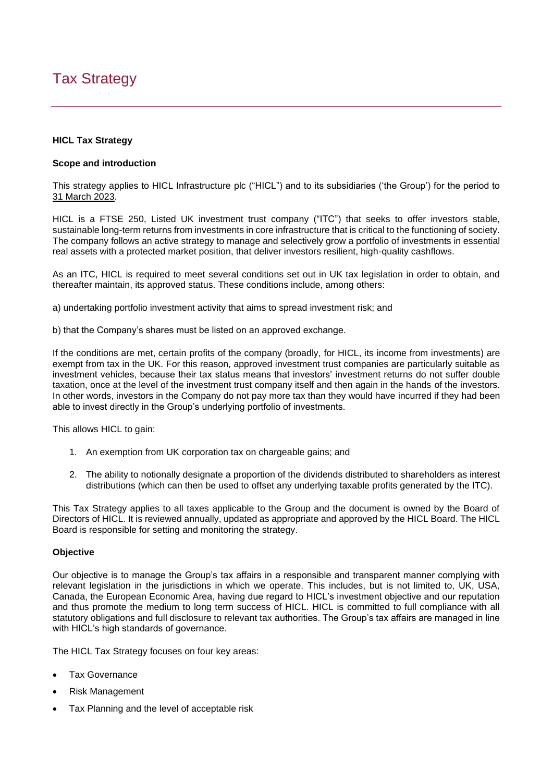# Tax Strategy

## **HICL Tax Strategy**

### **Scope and introduction**

This strategy applies to HICL Infrastructure plc ("HICL") and to its subsidiaries ('the Group') for the period to 31 March 2023.

HICL is a FTSE 250, Listed UK investment trust company ("ITC") that seeks to offer investors stable, sustainable long-term returns from investments in core infrastructure that is critical to the functioning of society. The company follows an active strategy to manage and selectively grow a portfolio of investments in essential real assets with a protected market position, that deliver investors resilient, high-quality cashflows.

As an ITC, HICL is required to meet several conditions set out in UK tax legislation in order to obtain, and thereafter maintain, its approved status. These conditions include, among others:

a) undertaking portfolio investment activity that aims to spread investment risk; and

b) that the Company's shares must be listed on an approved exchange.

If the conditions are met, certain profits of the company (broadly, for HICL, its income from investments) are exempt from tax in the UK. For this reason, approved investment trust companies are particularly suitable as investment vehicles, because their tax status means that investors' investment returns do not suffer double taxation, once at the level of the investment trust company itself and then again in the hands of the investors. In other words, investors in the Company do not pay more tax than they would have incurred if they had been able to invest directly in the Group's underlying portfolio of investments.

This allows HICL to gain:

- 1. An exemption from UK corporation tax on chargeable gains; and
- 2. The ability to notionally designate a proportion of the dividends distributed to shareholders as interest distributions (which can then be used to offset any underlying taxable profits generated by the ITC).

This Tax Strategy applies to all taxes applicable to the Group and the document is owned by the Board of Directors of HICL. It is reviewed annually, updated as appropriate and approved by the HICL Board. The HICL Board is responsible for setting and monitoring the strategy.

## **Objective**

Our objective is to manage the Group's tax affairs in a responsible and transparent manner complying with relevant legislation in the jurisdictions in which we operate. This includes, but is not limited to, UK, USA, Canada, the European Economic Area, having due regard to HICL's investment objective and our reputation and thus promote the medium to long term success of HICL. HICL is committed to full compliance with all statutory obligations and full disclosure to relevant tax authorities. The Group's tax affairs are managed in line with HICL's high standards of governance.

The HICL Tax Strategy focuses on four key areas:

- **Tax Governance**
- Risk Management
- Tax Planning and the level of acceptable risk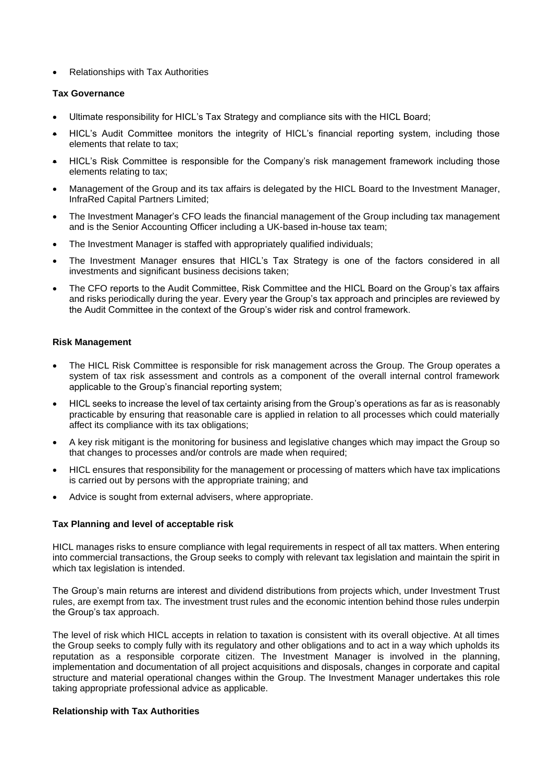• Relationships with Tax Authorities

#### **Tax Governance**

- Ultimate responsibility for HICL's Tax Strategy and compliance sits with the HICL Board;
- HICL's Audit Committee monitors the integrity of HICL's financial reporting system, including those elements that relate to tax;
- HICL's Risk Committee is responsible for the Company's risk management framework including those elements relating to tax;
- Management of the Group and its tax affairs is delegated by the HICL Board to the Investment Manager, InfraRed Capital Partners Limited;
- The Investment Manager's CFO leads the financial management of the Group including tax management and is the Senior Accounting Officer including a UK-based in-house tax team;
- The Investment Manager is staffed with appropriately qualified individuals;
- The Investment Manager ensures that HICL's Tax Strategy is one of the factors considered in all investments and significant business decisions taken:
- The CFO reports to the Audit Committee, Risk Committee and the HICL Board on the Group's tax affairs and risks periodically during the year. Every year the Group's tax approach and principles are reviewed by the Audit Committee in the context of the Group's wider risk and control framework.

#### **Risk Management**

- The HICL Risk Committee is responsible for risk management across the Group. The Group operates a system of tax risk assessment and controls as a component of the overall internal control framework applicable to the Group's financial reporting system;
- HICL seeks to increase the level of tax certainty arising from the Group's operations as far as is reasonably practicable by ensuring that reasonable care is applied in relation to all processes which could materially affect its compliance with its tax obligations;
- A key risk mitigant is the monitoring for business and legislative changes which may impact the Group so that changes to processes and/or controls are made when required;
- HICL ensures that responsibility for the management or processing of matters which have tax implications is carried out by persons with the appropriate training; and
- Advice is sought from external advisers, where appropriate.

## **Tax Planning and level of acceptable risk**

HICL manages risks to ensure compliance with legal requirements in respect of all tax matters. When entering into commercial transactions, the Group seeks to comply with relevant tax legislation and maintain the spirit in which tax legislation is intended.

The Group's main returns are interest and dividend distributions from projects which, under Investment Trust rules, are exempt from tax. The investment trust rules and the economic intention behind those rules underpin the Group's tax approach.

The level of risk which HICL accepts in relation to taxation is consistent with its overall objective. At all times the Group seeks to comply fully with its regulatory and other obligations and to act in a way which upholds its reputation as a responsible corporate citizen. The Investment Manager is involved in the planning, implementation and documentation of all project acquisitions and disposals, changes in corporate and capital structure and material operational changes within the Group. The Investment Manager undertakes this role taking appropriate professional advice as applicable.

#### **Relationship with Tax Authorities**